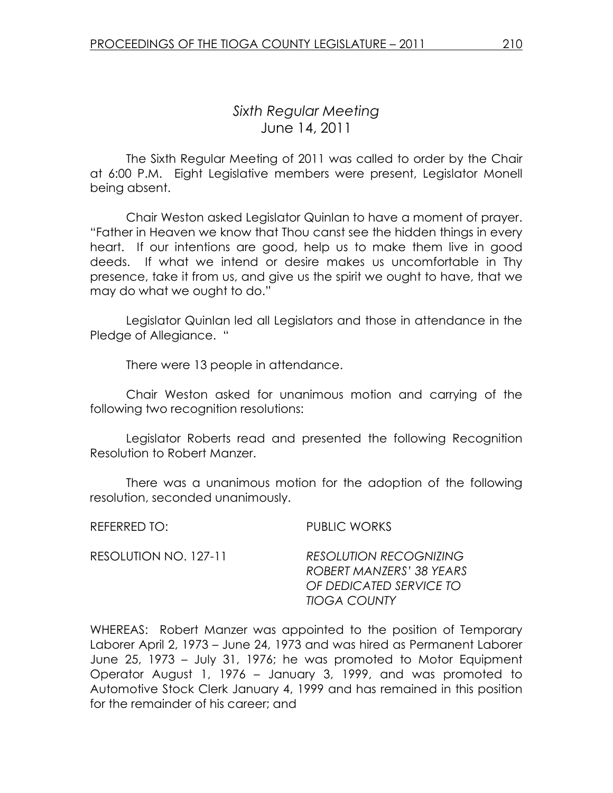# Sixth Regular Meeting June 14, 2011

 The Sixth Regular Meeting of 2011 was called to order by the Chair at 6:00 P.M. Eight Legislative members were present, Legislator Monell being absent.

Chair Weston asked Legislator Quinlan to have a moment of prayer. "Father in Heaven we know that Thou canst see the hidden things in every heart. If our intentions are good, help us to make them live in good deeds. If what we intend or desire makes us uncomfortable in Thy presence, take it from us, and give us the spirit we ought to have, that we may do what we ought to do."

 Legislator Quinlan led all Legislators and those in attendance in the Pledge of Allegiance. "

There were 13 people in attendance.

 Chair Weston asked for unanimous motion and carrying of the following two recognition resolutions:

 Legislator Roberts read and presented the following Recognition Resolution to Robert Manzer.

 There was a unanimous motion for the adoption of the following resolution, seconded unanimously.

REFERRED TO: PUBLIC WORKS

| RESOLUTION NO. 127-11 | <b>RESOLUTION RECOGNIZING</b> |
|-----------------------|-------------------------------|
|                       | ROBERT MANZERS' 38 YEARS      |
|                       | OF DEDICATED SERVICE TO       |
|                       | TIOGA COUNTY                  |

WHEREAS: Robert Manzer was appointed to the position of Temporary Laborer April 2, 1973 – June 24, 1973 and was hired as Permanent Laborer June 25, 1973 – July 31, 1976; he was promoted to Motor Equipment Operator August 1, 1976 – January 3, 1999, and was promoted to Automotive Stock Clerk January 4, 1999 and has remained in this position for the remainder of his career; and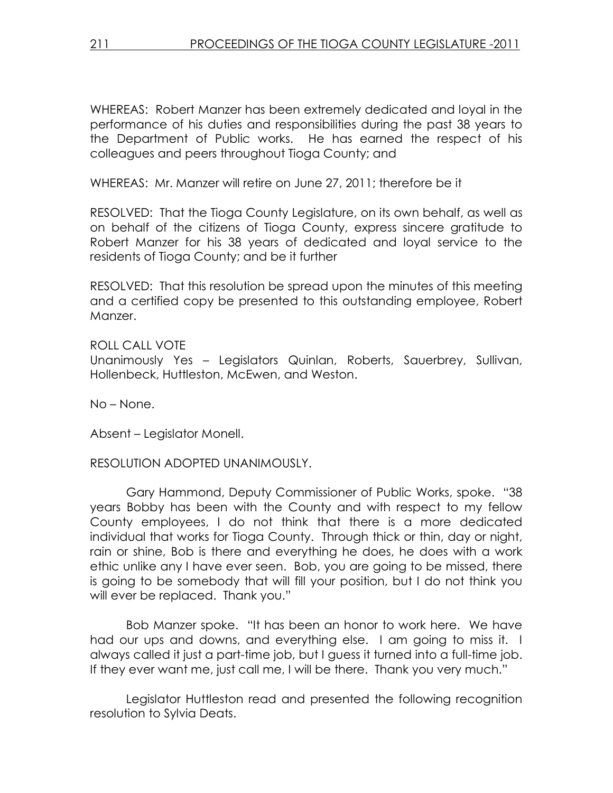WHEREAS: Robert Manzer has been extremely dedicated and loyal in the performance of his duties and responsibilities during the past 38 years to the Department of Public works. He has earned the respect of his colleagues and peers throughout Tioga County; and

WHEREAS: Mr. Manzer will retire on June 27, 2011; therefore be it

RESOLVED: That the Tioga County Legislature, on its own behalf, as well as on behalf of the citizens of Tioga County, express sincere gratitude to Robert Manzer for his 38 years of dedicated and loyal service to the residents of Tioga County; and be it further

RESOLVED: That this resolution be spread upon the minutes of this meeting and a certified copy be presented to this outstanding employee, Robert Manzer.

ROLL CALL VOTE Unanimously Yes – Legislators Quinlan, Roberts, Sauerbrey, Sullivan, Hollenbeck, Huttleston, McEwen, and Weston.

No – None.

Absent – Legislator Monell.

RESOLUTION ADOPTED UNANIMOUSLY.

 Gary Hammond, Deputy Commissioner of Public Works, spoke. "38 years Bobby has been with the County and with respect to my fellow County employees, I do not think that there is a more dedicated individual that works for Tioga County. Through thick or thin, day or night, rain or shine, Bob is there and everything he does, he does with a work ethic unlike any I have ever seen. Bob, you are going to be missed, there is going to be somebody that will fill your position, but I do not think you will ever be replaced. Thank you."

 Bob Manzer spoke. "It has been an honor to work here. We have had our ups and downs, and everything else. I am going to miss it. I always called it just a part-time job, but I guess it turned into a full-time job. If they ever want me, just call me, I will be there. Thank you very much."

 Legislator Huttleston read and presented the following recognition resolution to Sylvia Deats.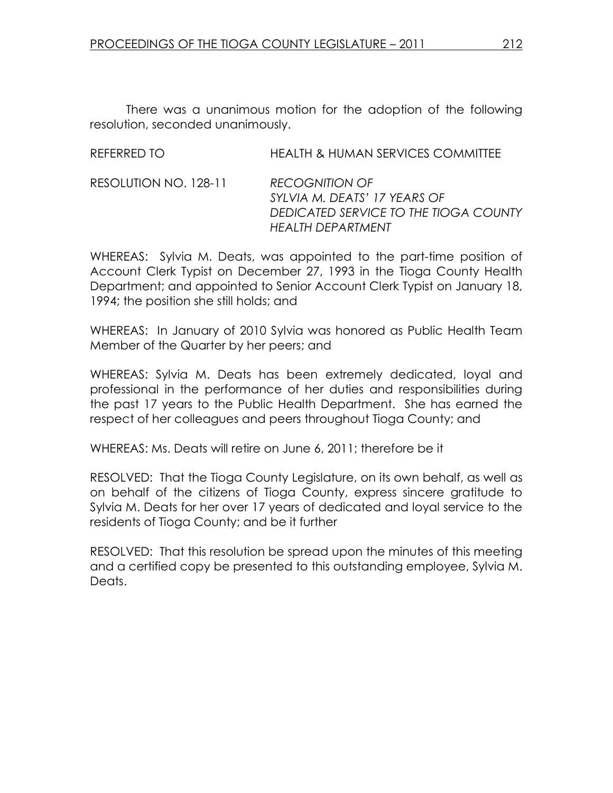There was a unanimous motion for the adoption of the following resolution, seconded unanimously.

| REFERRED TO           | <b>HEALTH &amp; HUMAN SERVICES COMMITTEE</b>                                                                         |
|-----------------------|----------------------------------------------------------------------------------------------------------------------|
| RESOLUTION NO. 128-11 | <b>RECOGNITION OF</b><br>SYLVIA M. DEATS' 17 YEARS OF<br>DEDICATED SERVICE TO THE TIOGA COUNTY<br>HEAI TH DEPARTMENT |

WHEREAS: Sylvia M. Deats, was appointed to the part-time position of Account Clerk Typist on December 27, 1993 in the Tioga County Health Department; and appointed to Senior Account Clerk Typist on January 18, 1994; the position she still holds; and

WHEREAS: In January of 2010 Sylvia was honored as Public Health Team Member of the Quarter by her peers; and

WHEREAS: Sylvia M. Deats has been extremely dedicated, loyal and professional in the performance of her duties and responsibilities during the past 17 years to the Public Health Department. She has earned the respect of her colleagues and peers throughout Tioga County; and

WHEREAS: Ms. Deats will retire on June 6, 2011; therefore be it

RESOLVED: That the Tioga County Legislature, on its own behalf, as well as on behalf of the citizens of Tioga County, express sincere gratitude to Sylvia M. Deats for her over 17 years of dedicated and loyal service to the residents of Tioga County; and be it further

RESOLVED: That this resolution be spread upon the minutes of this meeting and a certified copy be presented to this outstanding employee, Sylvia M. Deats.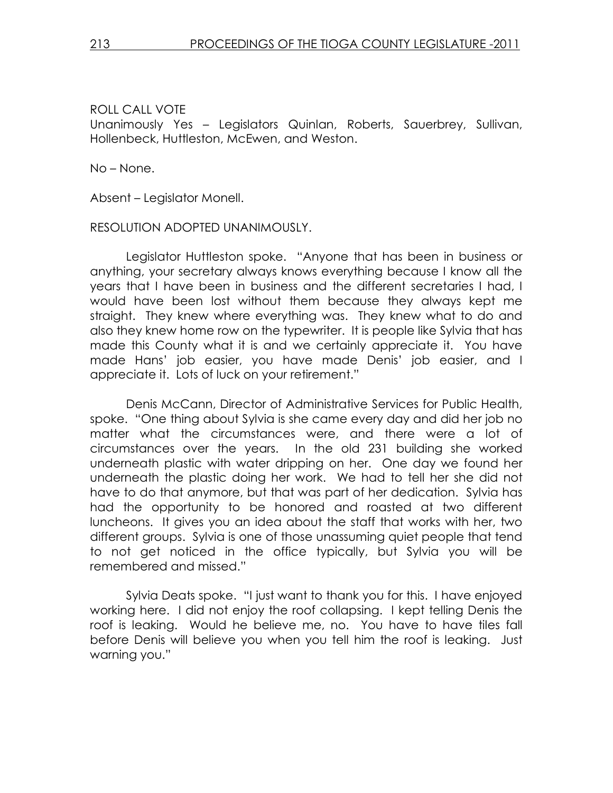## ROLL CALL VOTE

Unanimously Yes – Legislators Quinlan, Roberts, Sauerbrey, Sullivan, Hollenbeck, Huttleston, McEwen, and Weston.

No – None.

Absent – Legislator Monell.

#### RESOLUTION ADOPTED UNANIMOUSLY.

 Legislator Huttleston spoke. "Anyone that has been in business or anything, your secretary always knows everything because I know all the years that I have been in business and the different secretaries I had, I would have been lost without them because they always kept me straight. They knew where everything was. They knew what to do and also they knew home row on the typewriter. It is people like Sylvia that has made this County what it is and we certainly appreciate it. You have made Hans' job easier, you have made Denis' job easier, and I appreciate it. Lots of luck on your retirement."

 Denis McCann, Director of Administrative Services for Public Health, spoke. "One thing about Sylvia is she came every day and did her job no matter what the circumstances were, and there were a lot of circumstances over the years. In the old 231 building she worked underneath plastic with water dripping on her. One day we found her underneath the plastic doing her work. We had to tell her she did not have to do that anymore, but that was part of her dedication. Sylvia has had the opportunity to be honored and roasted at two different luncheons. It gives you an idea about the staff that works with her, two different groups. Sylvia is one of those unassuming quiet people that tend to not get noticed in the office typically, but Sylvia you will be remembered and missed."

 Sylvia Deats spoke. "I just want to thank you for this. I have enjoyed working here. I did not enjoy the roof collapsing. I kept telling Denis the roof is leaking. Would he believe me, no. You have to have tiles fall before Denis will believe you when you tell him the roof is leaking. Just warning you."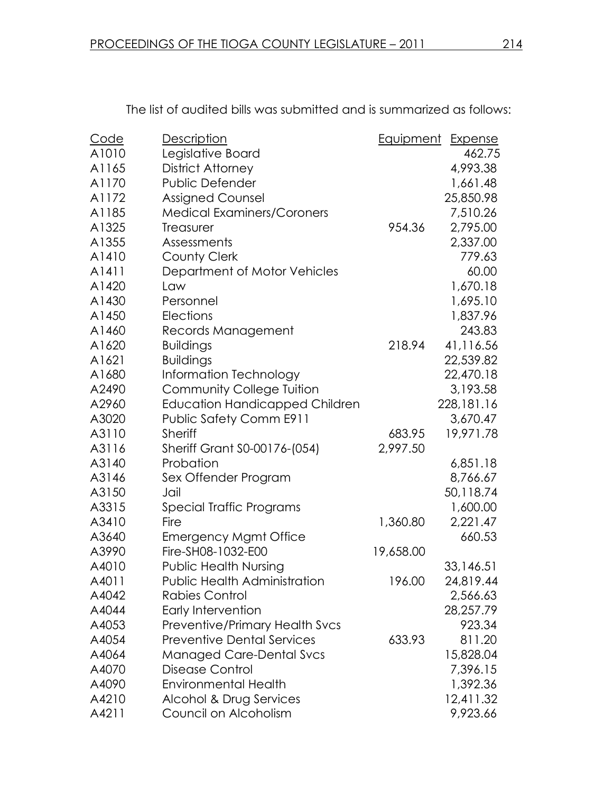| Code  | <b>Description</b>                    | Equipment | <b>Expense</b> |
|-------|---------------------------------------|-----------|----------------|
| A1010 | Legislative Board                     |           | 462.75         |
| A1165 | District Attorney                     |           | 4,993.38       |
| A1170 | Public Defender                       |           | 1,661.48       |
| A1172 | <b>Assigned Counsel</b>               |           | 25,850.98      |
| A1185 | <b>Medical Examiners/Coroners</b>     |           | 7,510.26       |
| A1325 | Treasurer                             | 954.36    | 2,795.00       |
| A1355 | Assessments                           |           | 2,337.00       |
| A1410 | <b>County Clerk</b>                   |           | 779.63         |
| A1411 | Department of Motor Vehicles          |           | 60.00          |
| A1420 | Law                                   |           | 1,670.18       |
| A1430 | Personnel                             |           | 1,695.10       |
| A1450 | Elections                             |           | 1,837.96       |
| A1460 | Records Management                    |           | 243.83         |
| A1620 | <b>Buildings</b>                      | 218.94    | 41,116.56      |
| A1621 | <b>Buildings</b>                      |           | 22,539.82      |
| A1680 | Information Technology                |           | 22,470.18      |
| A2490 | <b>Community College Tuition</b>      |           | 3,193.58       |
| A2960 | <b>Education Handicapped Children</b> |           | 228,181.16     |
| A3020 | <b>Public Safety Comm E911</b>        |           | 3,670.47       |
| A3110 | <b>Sheriff</b>                        | 683.95    | 19,971.78      |
| A3116 | Sheriff Grant S0-00176-(054)          | 2,997.50  |                |
| A3140 | Probation                             |           | 6,851.18       |
| A3146 | Sex Offender Program                  |           | 8,766.67       |
| A3150 | Jail                                  |           | 50,118.74      |
| A3315 | Special Traffic Programs              |           | 1,600.00       |
| A3410 | Fire                                  | 1,360.80  | 2,221.47       |
| A3640 | <b>Emergency Mgmt Office</b>          |           | 660.53         |
| A3990 | Fire-SH08-1032-E00                    | 19,658.00 |                |
| A4010 | <b>Public Health Nursing</b>          |           | 33,146.51      |
| A4011 | Public Health Administration          | 196.00    | 24,819.44      |
| A4042 | Rabies Control                        |           | 2,566.63       |
| A4044 | Early Intervention                    |           | 28,257.79      |
| A4053 | <b>Preventive/Primary Health Svcs</b> |           | 923.34         |
| A4054 | <b>Preventive Dental Services</b>     | 633.93    | 811.20         |
| A4064 | <b>Managed Care-Dental Svcs</b>       |           | 15,828.04      |
| A4070 | <b>Disease Control</b>                |           | 7,396.15       |
| A4090 | <b>Environmental Health</b>           |           | 1,392.36       |
| A4210 | Alcohol & Drug Services               |           | 12,411.32      |
| A4211 | Council on Alcoholism                 |           | 9,923.66       |

The list of audited bills was submitted and is summarized as follows: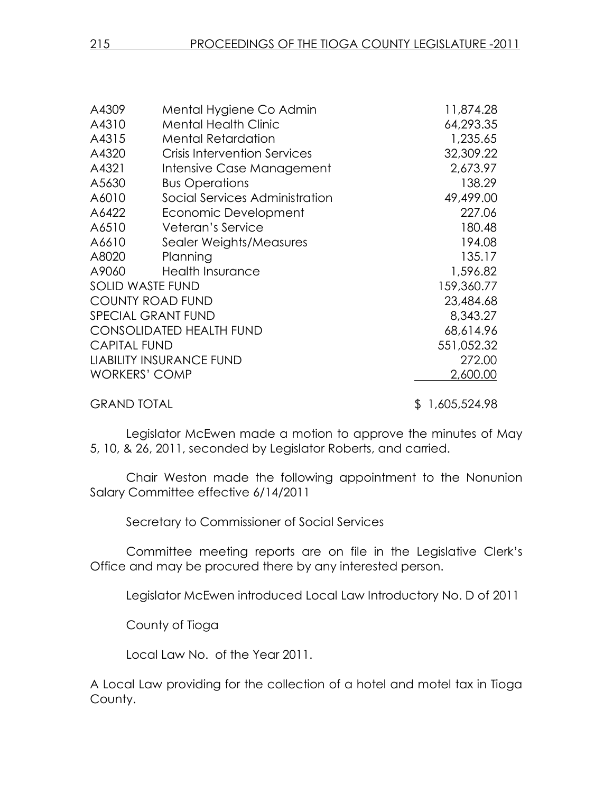| A4309                   | Mental Hygiene Co Admin             | 11,874.28      |
|-------------------------|-------------------------------------|----------------|
| A4310                   | <b>Mental Health Clinic</b>         | 64,293.35      |
| A4315                   | <b>Mental Retardation</b>           | 1,235.65       |
| A4320                   | <b>Crisis Intervention Services</b> | 32,309.22      |
| A4321                   | Intensive Case Management           | 2,673.97       |
| A5630                   | <b>Bus Operations</b>               | 138.29         |
| A6010                   | Social Services Administration      | 49,499.00      |
| A6422                   | Economic Development                | 227.06         |
| A6510                   | Veteran's Service                   | 180.48         |
| A6610                   | Sealer Weights/Measures             | 194.08         |
| A8020                   | Planning                            | 135.17         |
| A9060                   | <b>Health Insurance</b>             | 1,596.82       |
| <b>SOLID WASTE FUND</b> |                                     | 159,360.77     |
|                         | <b>COUNTY ROAD FUND</b>             | 23,484.68      |
|                         | SPECIAL GRANT FUND                  | 8,343.27       |
|                         | <b>CONSOLIDATED HEALTH FUND</b>     | 68,614.96      |
| <b>CAPITAL FUND</b>     |                                     | 551,052.32     |
|                         | <b>LIABILITY INSURANCE FUND</b>     | 272.00         |
| <b>WORKERS' COMP</b>    |                                     | 2,600.00       |
| <b>GRAND TOTAL</b>      |                                     | \$1,605,524.98 |

Legislator McEwen made a motion to approve the minutes of May 5, 10, & 26, 2011, seconded by Legislator Roberts, and carried.

 Chair Weston made the following appointment to the Nonunion Salary Committee effective 6/14/2011

Secretary to Commissioner of Social Services

Committee meeting reports are on file in the Legislative Clerk's Office and may be procured there by any interested person.

Legislator McEwen introduced Local Law Introductory No. D of 2011

County of Tioga

Local Law No. of the Year 2011.

A Local Law providing for the collection of a hotel and motel tax in Tioga County.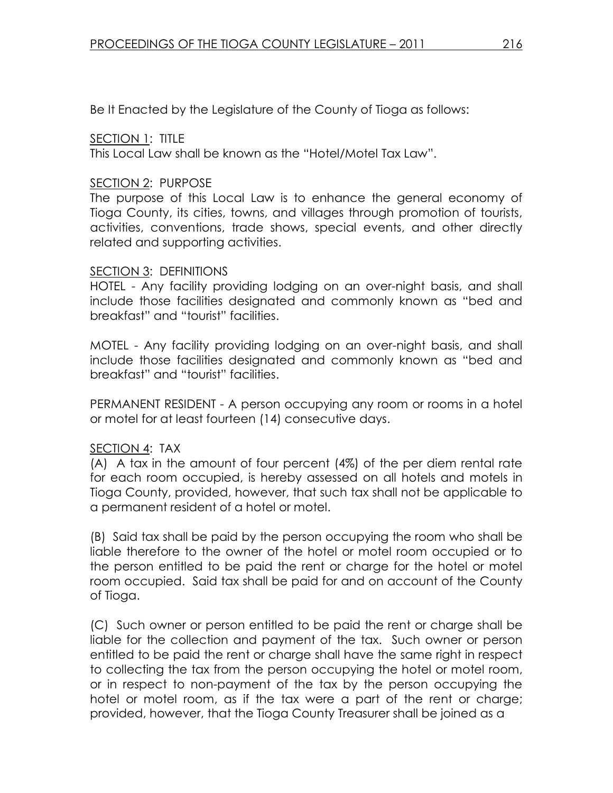Be It Enacted by the Legislature of the County of Tioga as follows:

SECTION 1: TITLE

This Local Law shall be known as the "Hotel/Motel Tax Law".

## SECTION 2: PURPOSE

The purpose of this Local Law is to enhance the general economy of Tioga County, its cities, towns, and villages through promotion of tourists, activities, conventions, trade shows, special events, and other directly related and supporting activities.

## SECTION 3: DEFINITIONS

HOTEL - Any facility providing lodging on an over-night basis, and shall include those facilities designated and commonly known as "bed and breakfast" and "tourist" facilities.

MOTEL - Any facility providing lodging on an over-night basis, and shall include those facilities designated and commonly known as "bed and breakfast" and "tourist" facilities.

PERMANENT RESIDENT - A person occupying any room or rooms in a hotel or motel for at least fourteen (14) consecutive days.

## SECTION 4: TAX

(A) A tax in the amount of four percent (4%) of the per diem rental rate for each room occupied, is hereby assessed on all hotels and motels in Tioga County, provided, however, that such tax shall not be applicable to a permanent resident of a hotel or motel.

(B) Said tax shall be paid by the person occupying the room who shall be liable therefore to the owner of the hotel or motel room occupied or to the person entitled to be paid the rent or charge for the hotel or motel room occupied. Said tax shall be paid for and on account of the County of Tioga.

(C) Such owner or person entitled to be paid the rent or charge shall be liable for the collection and payment of the tax. Such owner or person entitled to be paid the rent or charge shall have the same right in respect to collecting the tax from the person occupying the hotel or motel room, or in respect to non-payment of the tax by the person occupying the hotel or motel room, as if the tax were a part of the rent or charge; provided, however, that the Tioga County Treasurer shall be joined as a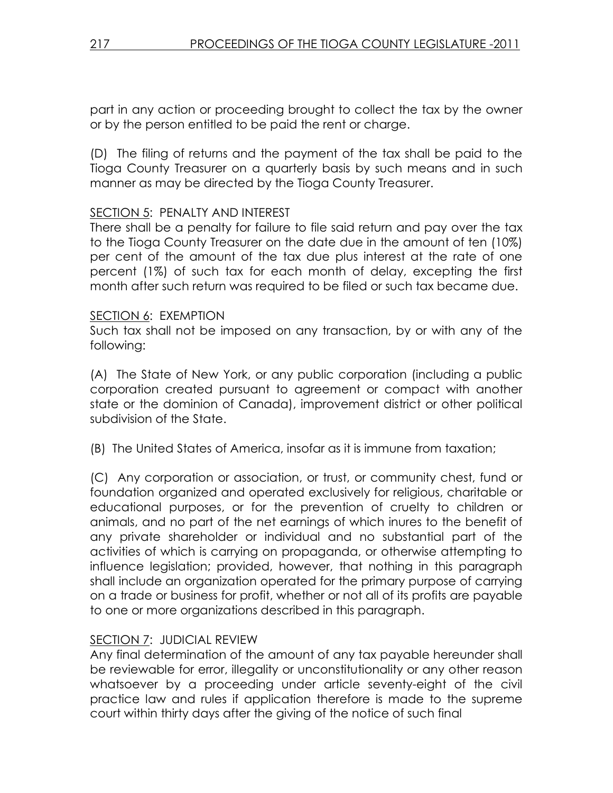part in any action or proceeding brought to collect the tax by the owner or by the person entitled to be paid the rent or charge.

(D) The filing of returns and the payment of the tax shall be paid to the Tioga County Treasurer on a quarterly basis by such means and in such manner as may be directed by the Tioga County Treasurer.

## SECTION 5: PENALTY AND INTEREST

There shall be a penalty for failure to file said return and pay over the tax to the Tioga County Treasurer on the date due in the amount of ten (10%) per cent of the amount of the tax due plus interest at the rate of one percent (1%) of such tax for each month of delay, excepting the first month after such return was required to be filed or such tax became due.

## SECTION 6: EXEMPTION

Such tax shall not be imposed on any transaction, by or with any of the following:

(A) The State of New York, or any public corporation (including a public corporation created pursuant to agreement or compact with another state or the dominion of Canada), improvement district or other political subdivision of the State.

(B) The United States of America, insofar as it is immune from taxation;

(C) Any corporation or association, or trust, or community chest, fund or foundation organized and operated exclusively for religious, charitable or educational purposes, or for the prevention of cruelty to children or animals, and no part of the net earnings of which inures to the benefit of any private shareholder or individual and no substantial part of the activities of which is carrying on propaganda, or otherwise attempting to influence legislation; provided, however, that nothing in this paragraph shall include an organization operated for the primary purpose of carrying on a trade or business for profit, whether or not all of its profits are payable to one or more organizations described in this paragraph.

## SECTION 7: JUDICIAL REVIEW

Any final determination of the amount of any tax payable hereunder shall be reviewable for error, illegality or unconstitutionality or any other reason whatsoever by a proceeding under article seventy-eight of the civil practice law and rules if application therefore is made to the supreme court within thirty days after the giving of the notice of such final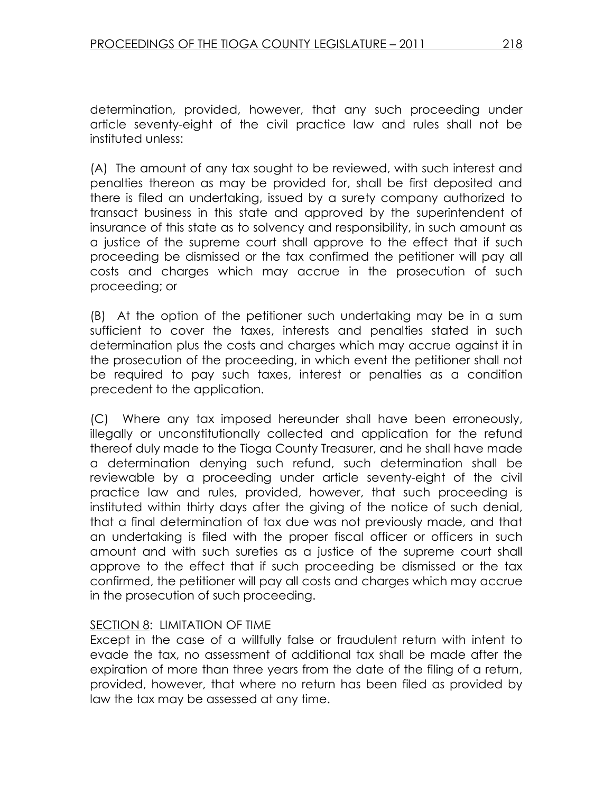determination, provided, however, that any such proceeding under article seventy-eight of the civil practice law and rules shall not be instituted unless:

(A) The amount of any tax sought to be reviewed, with such interest and penalties thereon as may be provided for, shall be first deposited and there is filed an undertaking, issued by a surety company authorized to transact business in this state and approved by the superintendent of insurance of this state as to solvency and responsibility, in such amount as a justice of the supreme court shall approve to the effect that if such proceeding be dismissed or the tax confirmed the petitioner will pay all costs and charges which may accrue in the prosecution of such proceeding; or

(B) At the option of the petitioner such undertaking may be in a sum sufficient to cover the taxes, interests and penalties stated in such determination plus the costs and charges which may accrue against it in the prosecution of the proceeding, in which event the petitioner shall not be required to pay such taxes, interest or penalties as a condition precedent to the application.

(C) Where any tax imposed hereunder shall have been erroneously, illegally or unconstitutionally collected and application for the refund thereof duly made to the Tioga County Treasurer, and he shall have made a determination denying such refund, such determination shall be reviewable by a proceeding under article seventy-eight of the civil practice law and rules, provided, however, that such proceeding is instituted within thirty days after the giving of the notice of such denial, that a final determination of tax due was not previously made, and that an undertaking is filed with the proper fiscal officer or officers in such amount and with such sureties as a justice of the supreme court shall approve to the effect that if such proceeding be dismissed or the tax confirmed, the petitioner will pay all costs and charges which may accrue in the prosecution of such proceeding.

## SECTION 8: LIMITATION OF TIME

Except in the case of a willfully false or fraudulent return with intent to evade the tax, no assessment of additional tax shall be made after the expiration of more than three years from the date of the filing of a return, provided, however, that where no return has been filed as provided by law the tax may be assessed at any time.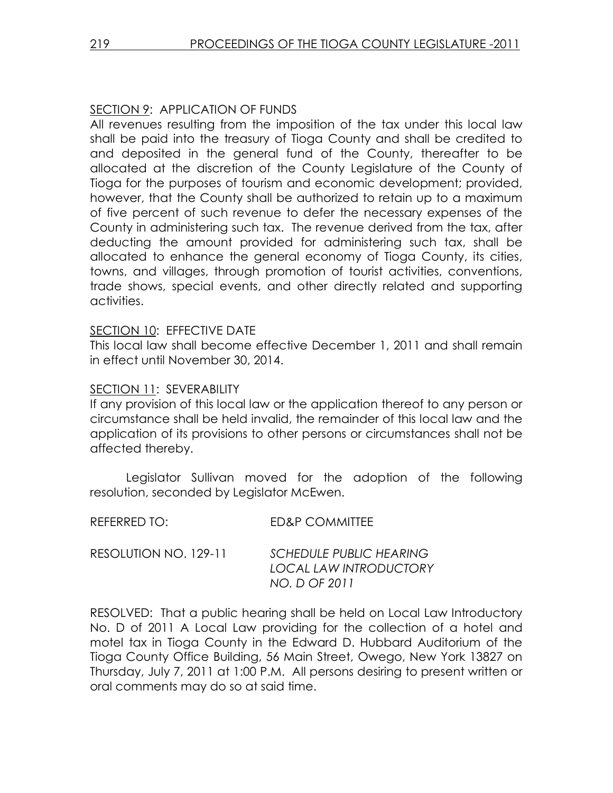## SECTION 9: APPLICATION OF FUNDS

All revenues resulting from the imposition of the tax under this local law shall be paid into the treasury of Tioga County and shall be credited to and deposited in the general fund of the County, thereafter to be allocated at the discretion of the County Legislature of the County of Tioga for the purposes of tourism and economic development; provided, however, that the County shall be authorized to retain up to a maximum of five percent of such revenue to defer the necessary expenses of the County in administering such tax. The revenue derived from the tax, after deducting the amount provided for administering such tax, shall be allocated to enhance the general economy of Tioga County, its cities, towns, and villages, through promotion of tourist activities, conventions, trade shows, special events, and other directly related and supporting activities.

#### SECTION 10: EFFECTIVE DATE

This local law shall become effective December 1, 2011 and shall remain in effect until November 30, 2014.

#### SECTION 11: SEVERABILITY

If any provision of this local law or the application thereof to any person or circumstance shall be held invalid, the remainder of this local law and the application of its provisions to other persons or circumstances shall not be affected thereby.

 Legislator Sullivan moved for the adoption of the following resolution, seconded by Legislator McEwen.

| REFERRED TO:          | ED&P COMMITTEE                                                            |
|-----------------------|---------------------------------------------------------------------------|
| RESOLUTION NO. 129-11 | <b>SCHEDULE PUBLIC HEARING</b><br>LOCAL LAW INTRODUCTORY<br>NO. D OF 2011 |

RESOLVED: That a public hearing shall be held on Local Law Introductory No. D of 2011 A Local Law providing for the collection of a hotel and motel tax in Tioga County in the Edward D. Hubbard Auditorium of the Tioga County Office Building, 56 Main Street, Owego, New York 13827 on Thursday, July 7, 2011 at 1:00 P.M. All persons desiring to present written or oral comments may do so at said time.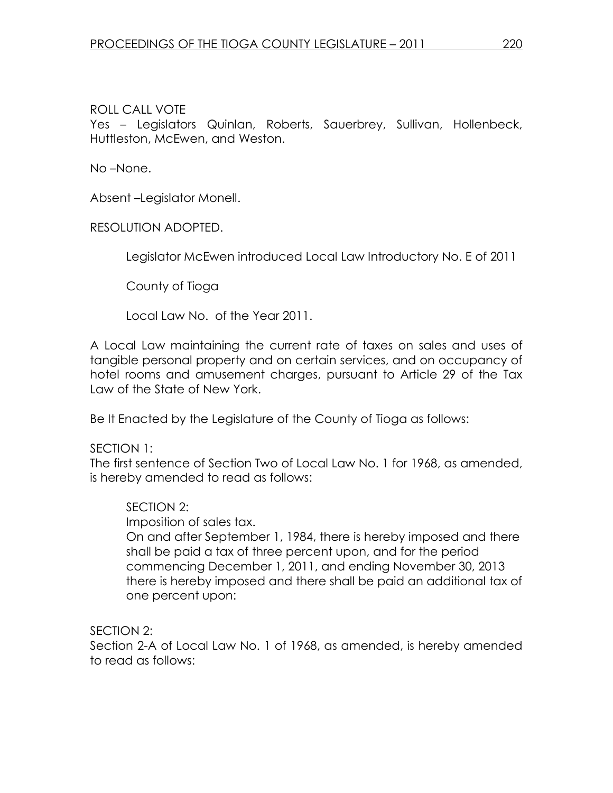## ROLL CALL VOTE

Yes – Legislators Quinlan, Roberts, Sauerbrey, Sullivan, Hollenbeck, Huttleston, McEwen, and Weston.

No –None.

Absent –Legislator Monell.

RESOLUTION ADOPTED.

Legislator McEwen introduced Local Law Introductory No. E of 2011

County of Tioga

Local Law No. of the Year 2011.

A Local Law maintaining the current rate of taxes on sales and uses of tangible personal property and on certain services, and on occupancy of hotel rooms and amusement charges, pursuant to Article 29 of the Tax Law of the State of New York.

Be It Enacted by the Legislature of the County of Tioga as follows:

SECTION 1:

The first sentence of Section Two of Local Law No. 1 for 1968, as amended, is hereby amended to read as follows:

## SECTION 2:

Imposition of sales tax.

On and after September 1, 1984, there is hereby imposed and there shall be paid a tax of three percent upon, and for the period commencing December 1, 2011, and ending November 30, 2013 there is hereby imposed and there shall be paid an additional tax of one percent upon:

SECTION 2:

Section 2-A of Local Law No. 1 of 1968, as amended, is hereby amended to read as follows: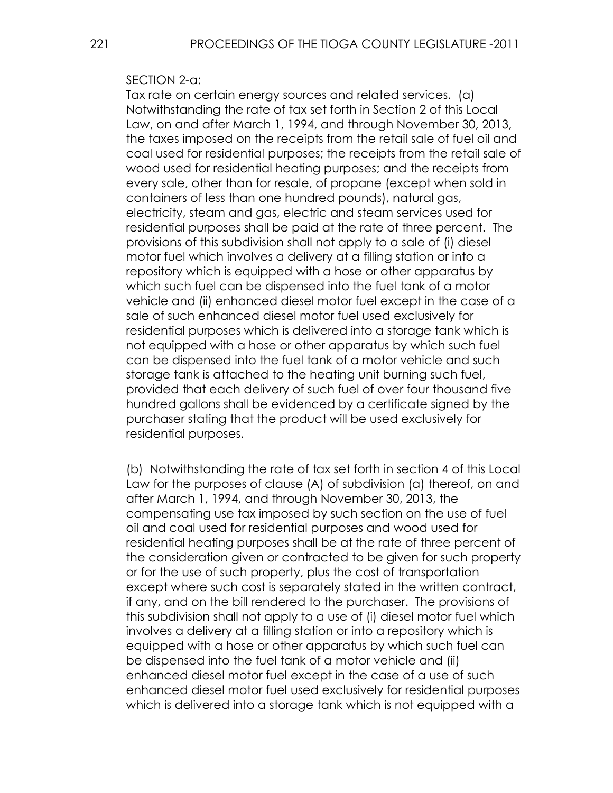#### SECTION 2-a:

Tax rate on certain energy sources and related services. (a) Notwithstanding the rate of tax set forth in Section 2 of this Local Law, on and after March 1, 1994, and through November 30, 2013, the taxes imposed on the receipts from the retail sale of fuel oil and coal used for residential purposes; the receipts from the retail sale of wood used for residential heating purposes; and the receipts from every sale, other than for resale, of propane (except when sold in containers of less than one hundred pounds), natural gas, electricity, steam and gas, electric and steam services used for residential purposes shall be paid at the rate of three percent. The provisions of this subdivision shall not apply to a sale of (i) diesel motor fuel which involves a delivery at a filling station or into a repository which is equipped with a hose or other apparatus by which such fuel can be dispensed into the fuel tank of a motor vehicle and (ii) enhanced diesel motor fuel except in the case of a sale of such enhanced diesel motor fuel used exclusively for residential purposes which is delivered into a storage tank which is not equipped with a hose or other apparatus by which such fuel can be dispensed into the fuel tank of a motor vehicle and such storage tank is attached to the heating unit burning such fuel, provided that each delivery of such fuel of over four thousand five hundred gallons shall be evidenced by a certificate signed by the purchaser stating that the product will be used exclusively for residential purposes.

(b) Notwithstanding the rate of tax set forth in section 4 of this Local Law for the purposes of clause (A) of subdivision (a) thereof, on and after March 1, 1994, and through November 30, 2013, the compensating use tax imposed by such section on the use of fuel oil and coal used for residential purposes and wood used for residential heating purposes shall be at the rate of three percent of the consideration given or contracted to be given for such property or for the use of such property, plus the cost of transportation except where such cost is separately stated in the written contract, if any, and on the bill rendered to the purchaser. The provisions of this subdivision shall not apply to a use of (i) diesel motor fuel which involves a delivery at a filling station or into a repository which is equipped with a hose or other apparatus by which such fuel can be dispensed into the fuel tank of a motor vehicle and (ii) enhanced diesel motor fuel except in the case of a use of such enhanced diesel motor fuel used exclusively for residential purposes which is delivered into a storage tank which is not equipped with a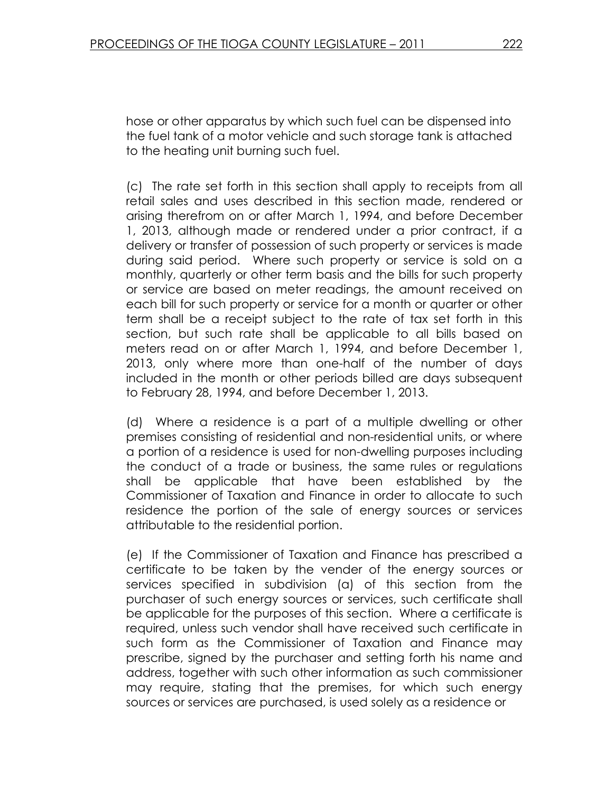hose or other apparatus by which such fuel can be dispensed into the fuel tank of a motor vehicle and such storage tank is attached to the heating unit burning such fuel.

(c) The rate set forth in this section shall apply to receipts from all retail sales and uses described in this section made, rendered or arising therefrom on or after March 1, 1994, and before December 1, 2013, although made or rendered under a prior contract, if a delivery or transfer of possession of such property or services is made during said period. Where such property or service is sold on a monthly, quarterly or other term basis and the bills for such property or service are based on meter readings, the amount received on each bill for such property or service for a month or quarter or other term shall be a receipt subject to the rate of tax set forth in this section, but such rate shall be applicable to all bills based on meters read on or after March 1, 1994, and before December 1, 2013, only where more than one-half of the number of days included in the month or other periods billed are days subsequent to February 28, 1994, and before December 1, 2013.

(d) Where a residence is a part of a multiple dwelling or other premises consisting of residential and non-residential units, or where a portion of a residence is used for non-dwelling purposes including the conduct of a trade or business, the same rules or regulations shall be applicable that have been established by the Commissioner of Taxation and Finance in order to allocate to such residence the portion of the sale of energy sources or services attributable to the residential portion.

(e) If the Commissioner of Taxation and Finance has prescribed a certificate to be taken by the vender of the energy sources or services specified in subdivision (a) of this section from the purchaser of such energy sources or services, such certificate shall be applicable for the purposes of this section. Where a certificate is required, unless such vendor shall have received such certificate in such form as the Commissioner of Taxation and Finance may prescribe, signed by the purchaser and setting forth his name and address, together with such other information as such commissioner may require, stating that the premises, for which such energy sources or services are purchased, is used solely as a residence or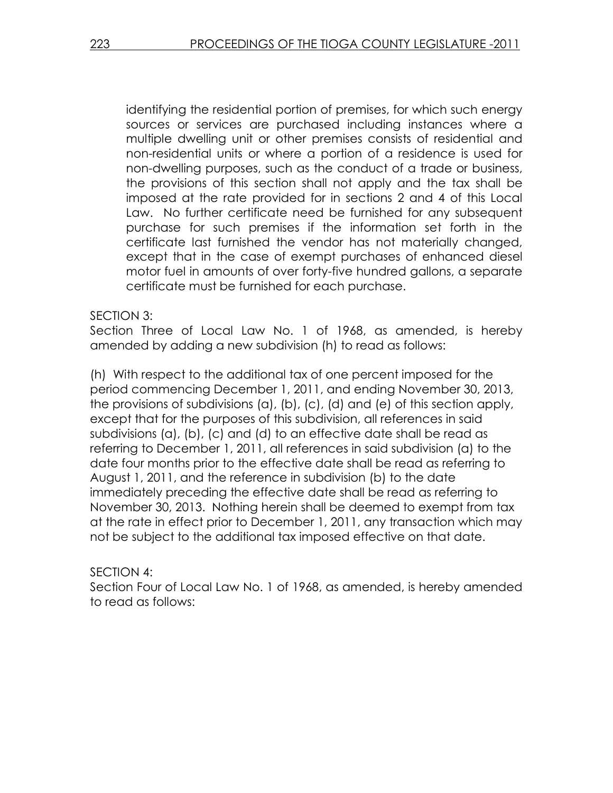identifying the residential portion of premises, for which such energy sources or services are purchased including instances where a multiple dwelling unit or other premises consists of residential and non-residential units or where a portion of a residence is used for non-dwelling purposes, such as the conduct of a trade or business, the provisions of this section shall not apply and the tax shall be imposed at the rate provided for in sections 2 and 4 of this Local Law. No further certificate need be furnished for any subsequent purchase for such premises if the information set forth in the certificate last furnished the vendor has not materially changed, except that in the case of exempt purchases of enhanced diesel motor fuel in amounts of over forty-five hundred gallons, a separate certificate must be furnished for each purchase.

#### SECTION 3:

Section Three of Local Law No. 1 of 1968, as amended, is hereby amended by adding a new subdivision (h) to read as follows:

(h) With respect to the additional tax of one percent imposed for the period commencing December 1, 2011, and ending November 30, 2013, the provisions of subdivisions (a), (b), (c), (d) and (e) of this section apply, except that for the purposes of this subdivision, all references in said subdivisions (a), (b), (c) and (d) to an effective date shall be read as referring to December 1, 2011, all references in said subdivision (a) to the date four months prior to the effective date shall be read as referring to August 1, 2011, and the reference in subdivision (b) to the date immediately preceding the effective date shall be read as referring to November 30, 2013. Nothing herein shall be deemed to exempt from tax at the rate in effect prior to December 1, 2011, any transaction which may not be subject to the additional tax imposed effective on that date.

#### SECTION 4:

Section Four of Local Law No. 1 of 1968, as amended, is hereby amended to read as follows: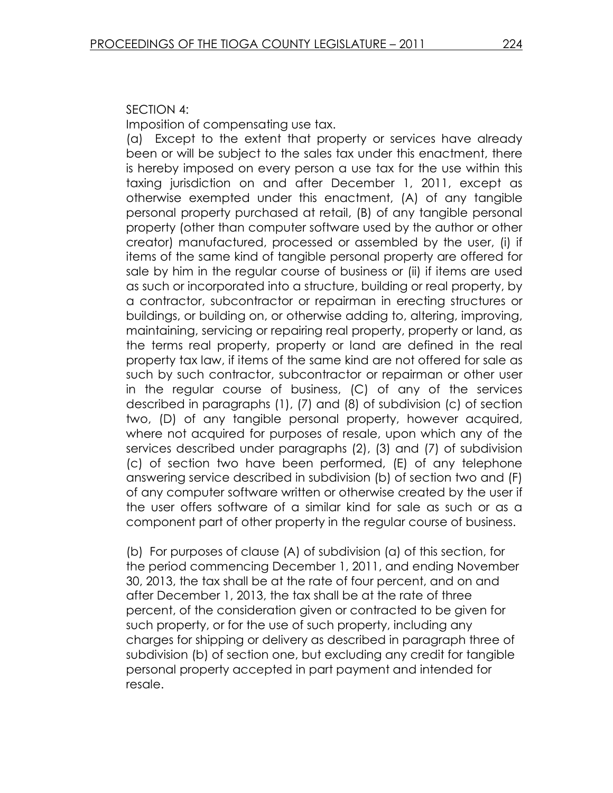#### SECTION 4:

Imposition of compensating use tax.

(a) Except to the extent that property or services have already been or will be subject to the sales tax under this enactment, there is hereby imposed on every person a use tax for the use within this taxing jurisdiction on and after December 1, 2011, except as otherwise exempted under this enactment, (A) of any tangible personal property purchased at retail, (B) of any tangible personal property (other than computer software used by the author or other creator) manufactured, processed or assembled by the user, (i) if items of the same kind of tangible personal property are offered for sale by him in the regular course of business or (ii) if items are used as such or incorporated into a structure, building or real property, by a contractor, subcontractor or repairman in erecting structures or buildings, or building on, or otherwise adding to, altering, improving, maintaining, servicing or repairing real property, property or land, as the terms real property, property or land are defined in the real property tax law, if items of the same kind are not offered for sale as such by such contractor, subcontractor or repairman or other user in the regular course of business, (C) of any of the services described in paragraphs (1), (7) and (8) of subdivision (c) of section two, (D) of any tangible personal property, however acquired, where not acquired for purposes of resale, upon which any of the services described under paragraphs (2), (3) and (7) of subdivision (c) of section two have been performed, (E) of any telephone answering service described in subdivision (b) of section two and (F) of any computer software written or otherwise created by the user if the user offers software of a similar kind for sale as such or as a component part of other property in the regular course of business.

(b) For purposes of clause (A) of subdivision (a) of this section, for the period commencing December 1, 2011, and ending November 30, 2013, the tax shall be at the rate of four percent, and on and after December 1, 2013, the tax shall be at the rate of three percent, of the consideration given or contracted to be given for such property, or for the use of such property, including any charges for shipping or delivery as described in paragraph three of subdivision (b) of section one, but excluding any credit for tangible personal property accepted in part payment and intended for resale.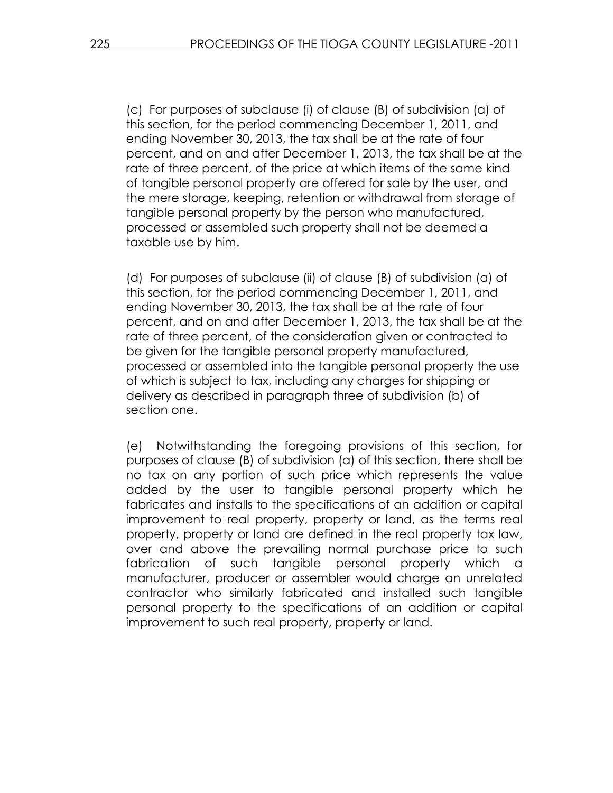(c) For purposes of subclause (i) of clause (B) of subdivision (a) of this section, for the period commencing December 1, 2011, and ending November 30, 2013, the tax shall be at the rate of four percent, and on and after December 1, 2013, the tax shall be at the rate of three percent, of the price at which items of the same kind of tangible personal property are offered for sale by the user, and the mere storage, keeping, retention or withdrawal from storage of tangible personal property by the person who manufactured, processed or assembled such property shall not be deemed a taxable use by him.

(d) For purposes of subclause (ii) of clause (B) of subdivision (a) of this section, for the period commencing December 1, 2011, and ending November 30, 2013, the tax shall be at the rate of four percent, and on and after December 1, 2013, the tax shall be at the rate of three percent, of the consideration given or contracted to be given for the tangible personal property manufactured, processed or assembled into the tangible personal property the use of which is subject to tax, including any charges for shipping or delivery as described in paragraph three of subdivision (b) of section one.

(e) Notwithstanding the foregoing provisions of this section, for purposes of clause (B) of subdivision (a) of this section, there shall be no tax on any portion of such price which represents the value added by the user to tangible personal property which he fabricates and installs to the specifications of an addition or capital improvement to real property, property or land, as the terms real property, property or land are defined in the real property tax law, over and above the prevailing normal purchase price to such fabrication of such tangible personal property which a manufacturer, producer or assembler would charge an unrelated contractor who similarly fabricated and installed such tangible personal property to the specifications of an addition or capital improvement to such real property, property or land.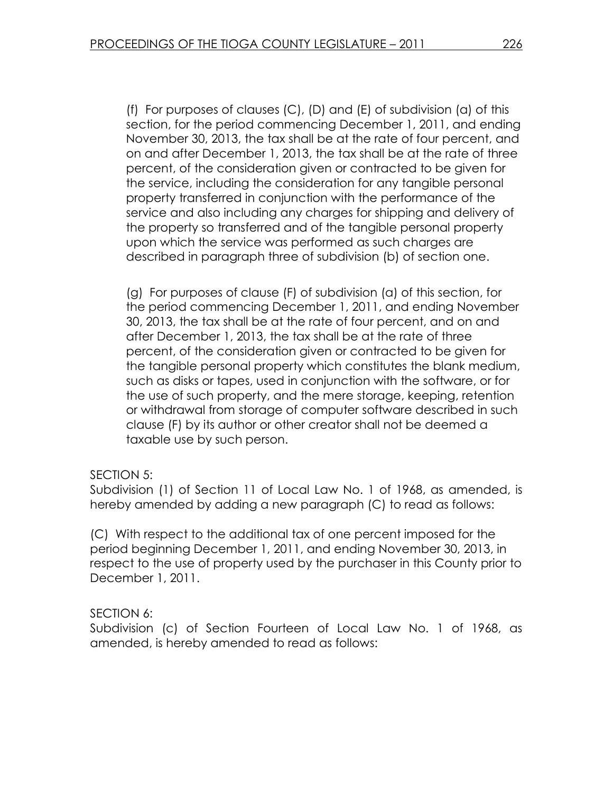(f) For purposes of clauses (C), (D) and (E) of subdivision (a) of this section, for the period commencing December 1, 2011, and ending November 30, 2013, the tax shall be at the rate of four percent, and on and after December 1, 2013, the tax shall be at the rate of three percent, of the consideration given or contracted to be given for the service, including the consideration for any tangible personal property transferred in conjunction with the performance of the service and also including any charges for shipping and delivery of the property so transferred and of the tangible personal property upon which the service was performed as such charges are described in paragraph three of subdivision (b) of section one.

(g) For purposes of clause (F) of subdivision (a) of this section, for the period commencing December 1, 2011, and ending November 30, 2013, the tax shall be at the rate of four percent, and on and after December 1, 2013, the tax shall be at the rate of three percent, of the consideration given or contracted to be given for the tangible personal property which constitutes the blank medium, such as disks or tapes, used in conjunction with the software, or for the use of such property, and the mere storage, keeping, retention or withdrawal from storage of computer software described in such clause (F) by its author or other creator shall not be deemed a taxable use by such person.

#### SECTION 5:

Subdivision (1) of Section 11 of Local Law No. 1 of 1968, as amended, is hereby amended by adding a new paragraph (C) to read as follows:

(C) With respect to the additional tax of one percent imposed for the period beginning December 1, 2011, and ending November 30, 2013, in respect to the use of property used by the purchaser in this County prior to December 1, 2011.

## SECTION 6:

Subdivision (c) of Section Fourteen of Local Law No. 1 of 1968, as amended, is hereby amended to read as follows: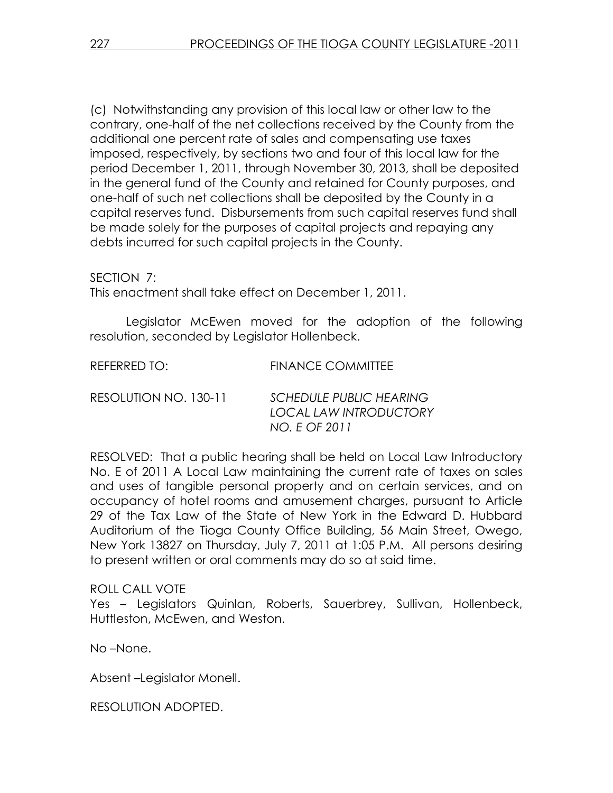(c) Notwithstanding any provision of this local law or other law to the contrary, one-half of the net collections received by the County from the additional one percent rate of sales and compensating use taxes imposed, respectively, by sections two and four of this local law for the period December 1, 2011, through November 30, 2013, shall be deposited in the general fund of the County and retained for County purposes, and one-half of such net collections shall be deposited by the County in a capital reserves fund. Disbursements from such capital reserves fund shall be made solely for the purposes of capital projects and repaying any debts incurred for such capital projects in the County.

SECTION 7:

This enactment shall take effect on December 1, 2011.

 Legislator McEwen moved for the adoption of the following resolution, seconded by Legislator Hollenbeck.

REFERRED TO: FINANCE COMMITTEE

RESOLUTION NO. 130-11 SCHEDULE PUBLIC HEARING LOCAL LAW INTRODUCTORY NO. E OF 2011

RESOLVED: That a public hearing shall be held on Local Law Introductory No. E of 2011 A Local Law maintaining the current rate of taxes on sales and uses of tangible personal property and on certain services, and on occupancy of hotel rooms and amusement charges, pursuant to Article 29 of the Tax Law of the State of New York in the Edward D. Hubbard Auditorium of the Tioga County Office Building, 56 Main Street, Owego, New York 13827 on Thursday, July 7, 2011 at 1:05 P.M. All persons desiring to present written or oral comments may do so at said time.

ROLL CALL VOTE

Yes – Legislators Quinlan, Roberts, Sauerbrey, Sullivan, Hollenbeck, Huttleston, McEwen, and Weston.

No –None.

Absent –Legislator Monell.

RESOLUTION ADOPTED.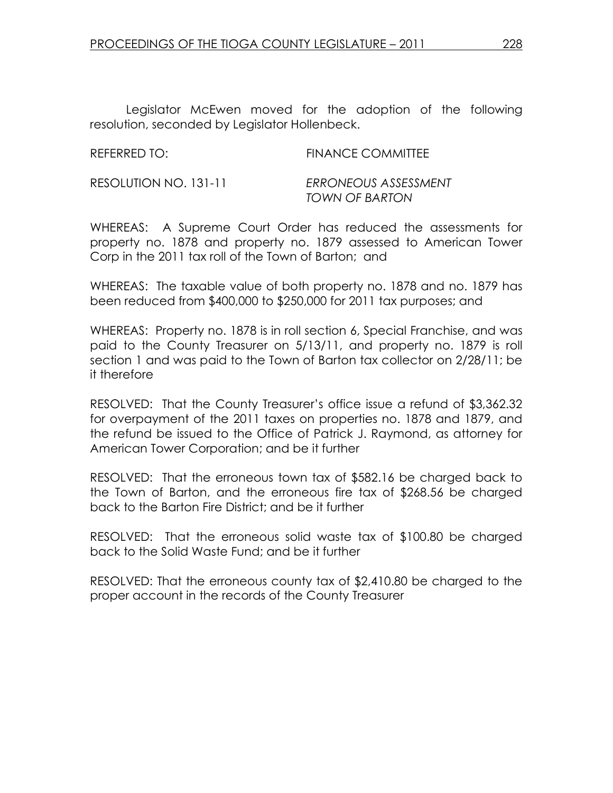Legislator McEwen moved for the adoption of the following resolution, seconded by Legislator Hollenbeck.

| REFERRED TO:          | <b>FINANCE COMMITTEE</b> |
|-----------------------|--------------------------|
| RESOLUTION NO. 131-11 | ERRONEOUS ASSESSMENT     |

WHEREAS: A Supreme Court Order has reduced the assessments for property no. 1878 and property no. 1879 assessed to American Tower Corp in the 2011 tax roll of the Town of Barton; and

TOWN OF BARTON

WHEREAS: The taxable value of both property no. 1878 and no. 1879 has been reduced from \$400,000 to \$250,000 for 2011 tax purposes; and

WHEREAS: Property no. 1878 is in roll section 6, Special Franchise, and was paid to the County Treasurer on 5/13/11, and property no. 1879 is roll section 1 and was paid to the Town of Barton tax collector on 2/28/11; be it therefore

RESOLVED: That the County Treasurer's office issue a refund of \$3,362.32 for overpayment of the 2011 taxes on properties no. 1878 and 1879, and the refund be issued to the Office of Patrick J. Raymond, as attorney for American Tower Corporation; and be it further

RESOLVED: That the erroneous town tax of \$582.16 be charged back to the Town of Barton, and the erroneous fire tax of \$268.56 be charged back to the Barton Fire District; and be it further

RESOLVED: That the erroneous solid waste tax of \$100.80 be charged back to the Solid Waste Fund; and be it further

RESOLVED: That the erroneous county tax of \$2,410.80 be charged to the proper account in the records of the County Treasurer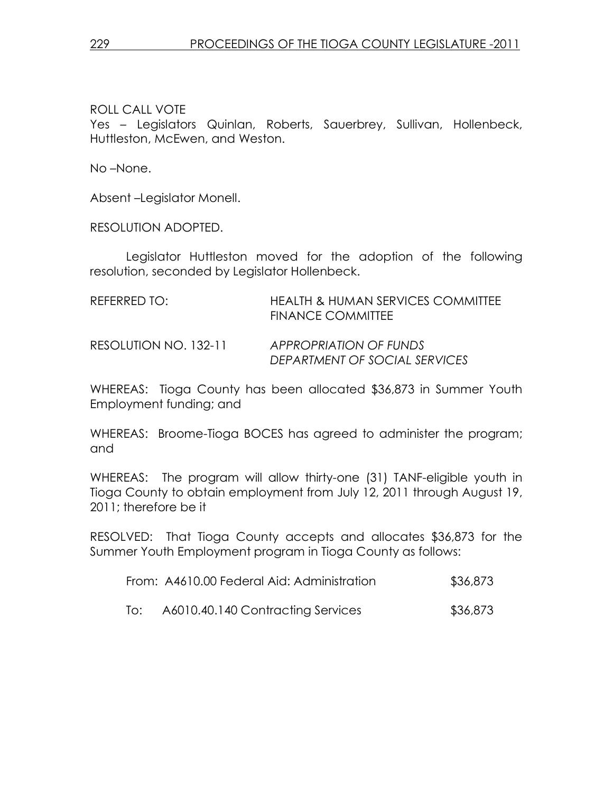ROLL CALL VOTE Yes – Legislators Quinlan, Roberts, Sauerbrey, Sullivan, Hollenbeck, Huttleston, McEwen, and Weston.

No –None.

Absent –Legislator Monell.

RESOLUTION ADOPTED.

 Legislator Huttleston moved for the adoption of the following resolution, seconded by Legislator Hollenbeck.

| REFERRED TO:          | HEALTH & HUMAN SERVICES COMMITTEE<br><b>FINANCE COMMITTEE</b> |
|-----------------------|---------------------------------------------------------------|
| RESOLUTION NO. 132-11 | APPROPRIATION OF FUNDS<br>DEPARTMENT OF SOCIAL SERVICES       |

WHEREAS: Tioga County has been allocated \$36,873 in Summer Youth Employment funding; and

WHEREAS: Broome-Tioga BOCES has agreed to administer the program; and

WHEREAS: The program will allow thirty-one (31) TANF-eligible youth in Tioga County to obtain employment from July 12, 2011 through August 19, 2011; therefore be it

RESOLVED: That Tioga County accepts and allocates \$36,873 for the Summer Youth Employment program in Tioga County as follows:

|  | From: A4610.00 Federal Aid: Administration | \$36,873 |
|--|--------------------------------------------|----------|
|  | A6010.40.140 Contracting Services          | \$36,873 |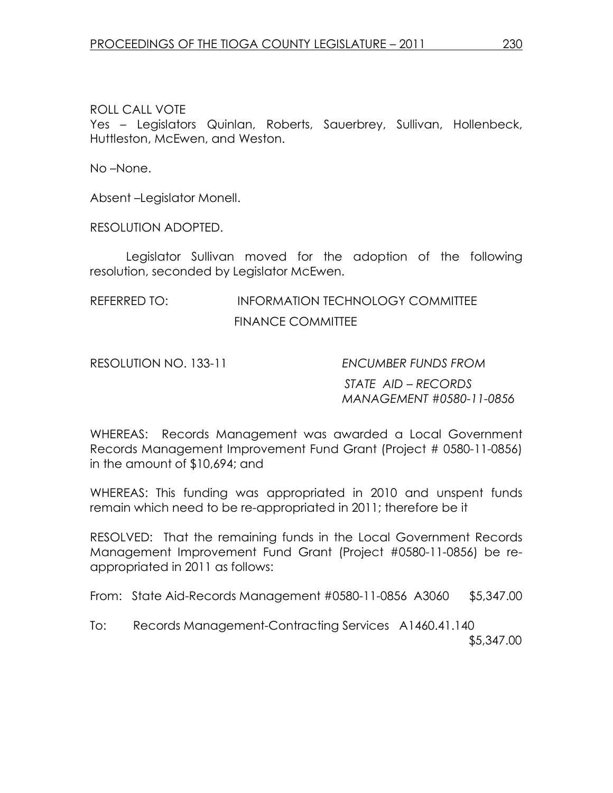## ROLL CALL VOTE

Yes – Legislators Quinlan, Roberts, Sauerbrey, Sullivan, Hollenbeck, Huttleston, McEwen, and Weston.

No –None.

Absent –Legislator Monell.

RESOLUTION ADOPTED.

 Legislator Sullivan moved for the adoption of the following resolution, seconded by Legislator McEwen.

# REFERRED TO: INFORMATION TECHNOLOGY COMMITTEE FINANCE COMMITTEE

RESOLUTION NO. 133-11 ENCUMBER FUNDS FROM

STATE AID – RECORDS MANAGEMENT #0580-11-0856

WHEREAS: Records Management was awarded a Local Government Records Management Improvement Fund Grant (Project # 0580-11-0856) in the amount of \$10,694; and

WHEREAS: This funding was appropriated in 2010 and unspent funds remain which need to be re-appropriated in 2011; therefore be it

RESOLVED: That the remaining funds in the Local Government Records Management Improvement Fund Grant (Project #0580-11-0856) be reappropriated in 2011 as follows:

From: State Aid-Records Management #0580-11-0856 A3060 \$5,347.00

To: Records Management-Contracting Services A1460.41.140 \$5,347.00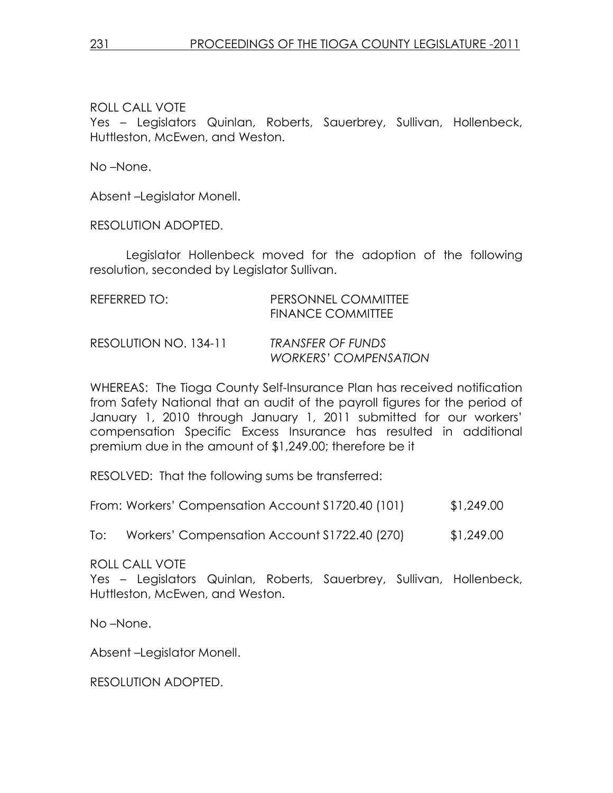ROLL CALL VOTE Yes – Legislators Quinlan, Roberts, Sauerbrey, Sullivan, Hollenbeck, Huttleston, McEwen, and Weston.

No –None.

Absent –Legislator Monell.

RESOLUTION ADOPTED.

 Legislator Hollenbeck moved for the adoption of the following resolution, seconded by Legislator Sullivan.

| REFERRED TO:          | PERSONNEL COMMITTEE<br><b>FINANCE COMMITTEE</b> |
|-----------------------|-------------------------------------------------|
| RESOLUTION NO. 134-11 | TRANSFER OF FUNDS<br>WORKERS' COMPENSATION      |

WHEREAS: The Tioga County Self-Insurance Plan has received notification from Safety National that an audit of the payroll figures for the period of January 1, 2010 through January 1, 2011 submitted for our workers' compensation Specific Excess Insurance has resulted in additional premium due in the amount of \$1,249.00; therefore be it

RESOLVED: That the following sums be transferred:

|  | From: Workers' Compensation Account \$1720.40 (101) | \$1,249.00 |
|--|-----------------------------------------------------|------------|
|--|-----------------------------------------------------|------------|

To: Workers' Compensation Account S1722.40 (270) \$1,249.00

ROLL CALL VOTE

Yes – Legislators Quinlan, Roberts, Sauerbrey, Sullivan, Hollenbeck, Huttleston, McEwen, and Weston.

No –None.

Absent –Legislator Monell.

RESOLUTION ADOPTED.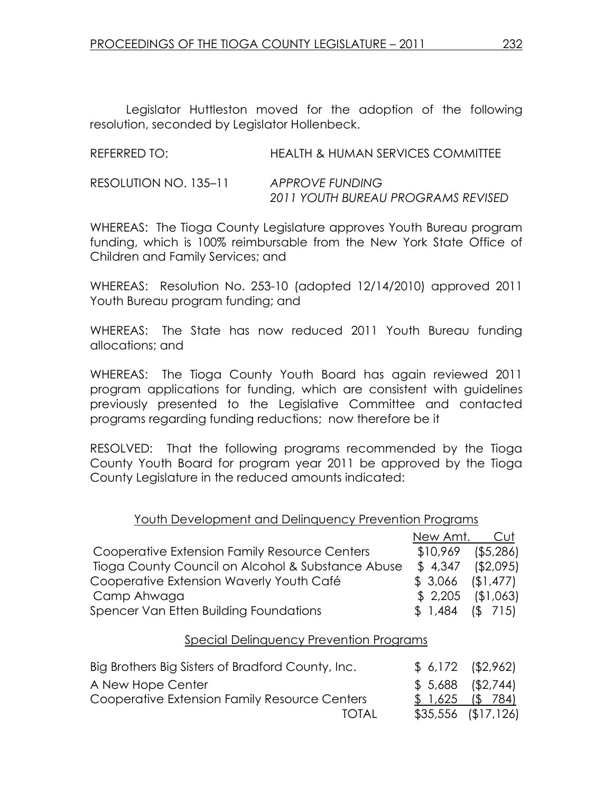Legislator Huttleston moved for the adoption of the following resolution, seconded by Legislator Hollenbeck.

| REFERRED TO:          | HEALTH & HUMAN SERVICES COMMITTEE                     |
|-----------------------|-------------------------------------------------------|
| RESOLUTION NO. 135-11 | APPROVE FUNDING<br>2011 YOUTH BUREAU PROGRAMS REVISED |

WHEREAS: The Tioga County Legislature approves Youth Bureau program funding, which is 100% reimbursable from the New York State Office of Children and Family Services; and

WHEREAS: Resolution No. 253-10 (adopted 12/14/2010) approved 2011 Youth Bureau program funding; and

WHEREAS: The State has now reduced 2011 Youth Bureau funding allocations; and

WHEREAS: The Tioga County Youth Board has again reviewed 2011 program applications for funding, which are consistent with guidelines previously presented to the Legislative Committee and contacted programs regarding funding reductions; now therefore be it

RESOLVED: That the following programs recommended by the Tioga County Youth Board for program year 2011 be approved by the Tioga County Legislature in the reduced amounts indicated:

|                                                   | New Amt.          | Cut          |
|---------------------------------------------------|-------------------|--------------|
| Cooperative Extension Family Resource Centers     | \$10,969          | $($ \$5,286) |
| Tioga County Council on Alcohol & Substance Abuse | \$4,347           | ( \$2,095)   |
| Cooperative Extension Waverly Youth Café          | \$3,066           | (1, 477)     |
| Camp Ahwaga                                       | $$2,205$ $$1,063$ |              |
| Spencer Van Etten Building Foundations            | $$1,484$ (\$ 715) |              |

#### Special Delinquency Prevention Programs

| Big Brothers Big Sisters of Bradford County, Inc. | $$6,172$ $$2,962]$ |                     |
|---------------------------------------------------|--------------------|---------------------|
| A New Hope Center                                 | $$5,688$ (\$2,744) |                     |
| Cooperative Extension Family Resource Centers     | $$1,625$ (\$ 784)  |                     |
| TOTAL                                             |                    | $$35,556$ $$17,126$ |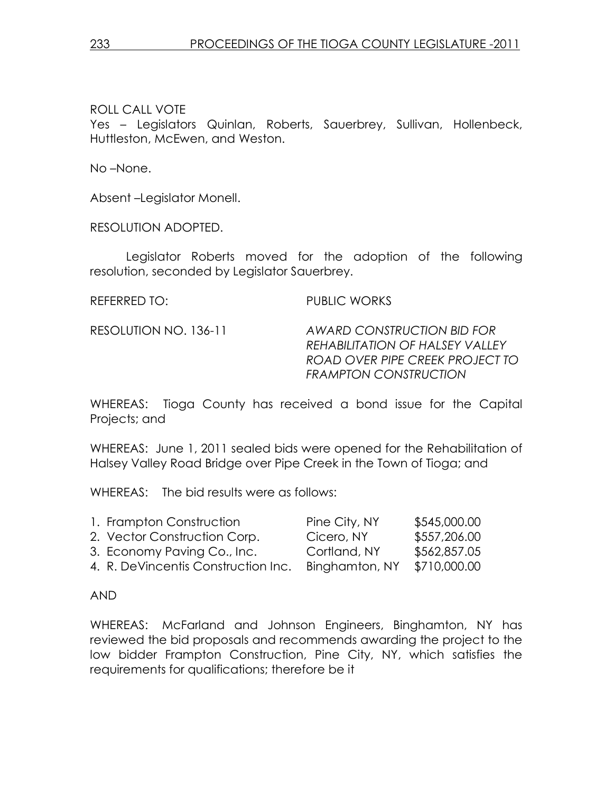ROLL CALL VOTE Yes – Legislators Quinlan, Roberts, Sauerbrey, Sullivan, Hollenbeck, Huttleston, McEwen, and Weston.

No –None.

Absent –Legislator Monell.

RESOLUTION ADOPTED.

 Legislator Roberts moved for the adoption of the following resolution, seconded by Legislator Sauerbrey.

REFERRED TO: PUBLIC WORKS

RESOLUTION NO. 136-11 AWARD CONSTRUCTION BID FOR REHABILITATION OF HALSEY VALLEY ROAD OVER PIPE CREEK PROJECT TO FRAMPTON CONSTRUCTION

WHEREAS: Tioga County has received a bond issue for the Capital Projects; and

WHEREAS: June 1, 2011 sealed bids were opened for the Rehabilitation of Halsey Valley Road Bridge over Pipe Creek in the Town of Tioga; and

WHEREAS: The bid results were as follows:

| 1. Frampton Construction            | Pine City, NY  | \$545,000.00 |
|-------------------------------------|----------------|--------------|
| 2. Vector Construction Corp.        | Cicero, NY     | \$557,206.00 |
| 3. Economy Paving Co., Inc.         | Cortland, NY   | \$562,857.05 |
| 4. R. DeVincentis Construction Inc. | Binghamton, NY | \$710,000.00 |

## AND

WHEREAS: McFarland and Johnson Engineers, Binghamton, NY has reviewed the bid proposals and recommends awarding the project to the low bidder Frampton Construction, Pine City, NY, which satisfies the requirements for qualifications; therefore be it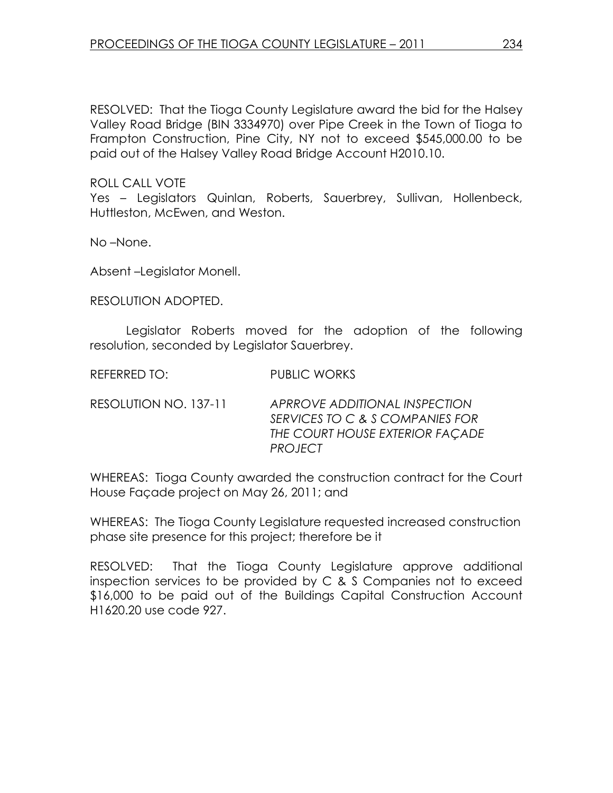RESOLVED: That the Tioga County Legislature award the bid for the Halsey Valley Road Bridge (BIN 3334970) over Pipe Creek in the Town of Tioga to Frampton Construction, Pine City, NY not to exceed \$545,000.00 to be paid out of the Halsey Valley Road Bridge Account H2010.10.

ROLL CALL VOTE

Yes – Legislators Quinlan, Roberts, Sauerbrey, Sullivan, Hollenbeck, Huttleston, McEwen, and Weston.

No –None.

Absent –Legislator Monell.

RESOLUTION ADOPTED.

 Legislator Roberts moved for the adoption of the following resolution, seconded by Legislator Sauerbrey.

REFERRED TO: PUBLIC WORKS

RESOLUTION NO. 137-11 APRROVE ADDITIONAL INSPECTION SERVICES TO C & S COMPANIES FOR THE COURT HOUSE EXTERIOR FAÇADE PROJECT

WHEREAS: Tioga County awarded the construction contract for the Court House Façade project on May 26, 2011; and

WHEREAS: The Tioga County Legislature requested increased construction phase site presence for this project; therefore be it

RESOLVED: That the Tioga County Legislature approve additional inspection services to be provided by C & S Companies not to exceed \$16,000 to be paid out of the Buildings Capital Construction Account H1620.20 use code 927.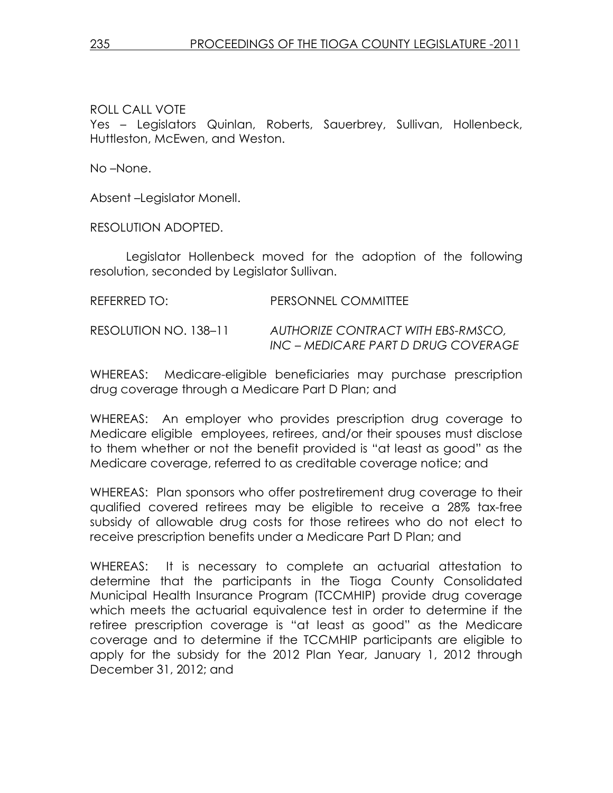ROLL CALL VOTE Yes – Legislators Quinlan, Roberts, Sauerbrey, Sullivan, Hollenbeck, Huttleston, McEwen, and Weston.

No –None.

Absent –Legislator Monell.

RESOLUTION ADOPTED.

 Legislator Hollenbeck moved for the adoption of the following resolution, seconded by Legislator Sullivan.

| REFERRED TO:          | PERSONNEL COMMITTEE                                                       |
|-----------------------|---------------------------------------------------------------------------|
| RESOLUTION NO. 138–11 | AUTHORIZE CONTRACT WITH EBS-RMSCO,<br>INC – MEDICARE PART D DRUG COVERAGE |

WHEREAS: Medicare-eligible beneficiaries may purchase prescription drug coverage through a Medicare Part D Plan; and

WHEREAS: An employer who provides prescription drug coverage to Medicare eligible employees, retirees, and/or their spouses must disclose to them whether or not the benefit provided is "at least as good" as the Medicare coverage, referred to as creditable coverage notice; and

WHEREAS: Plan sponsors who offer postretirement drug coverage to their qualified covered retirees may be eligible to receive a 28% tax-free subsidy of allowable drug costs for those retirees who do not elect to receive prescription benefits under a Medicare Part D Plan; and

WHEREAS: It is necessary to complete an actuarial attestation to determine that the participants in the Tioga County Consolidated Municipal Health Insurance Program (TCCMHIP) provide drug coverage which meets the actuarial equivalence test in order to determine if the retiree prescription coverage is "at least as good" as the Medicare coverage and to determine if the TCCMHIP participants are eligible to apply for the subsidy for the 2012 Plan Year, January 1, 2012 through December 31, 2012; and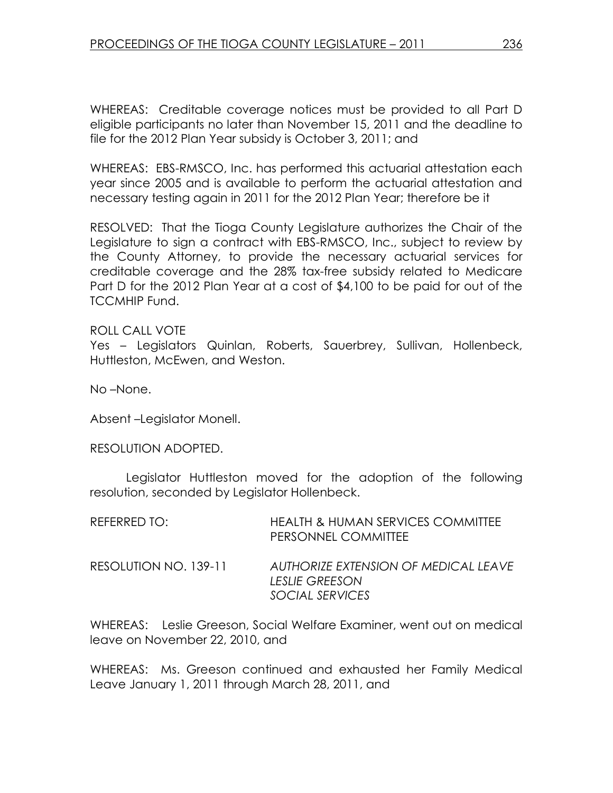WHEREAS: Creditable coverage notices must be provided to all Part D eligible participants no later than November 15, 2011 and the deadline to file for the 2012 Plan Year subsidy is October 3, 2011; and

WHEREAS: EBS-RMSCO, Inc. has performed this actuarial attestation each year since 2005 and is available to perform the actuarial attestation and necessary testing again in 2011 for the 2012 Plan Year; therefore be it

RESOLVED: That the Tioga County Legislature authorizes the Chair of the Legislature to sign a contract with EBS-RMSCO, Inc., subject to review by the County Attorney, to provide the necessary actuarial services for creditable coverage and the 28% tax-free subsidy related to Medicare Part D for the 2012 Plan Year at a cost of \$4,100 to be paid for out of the TCCMHIP Fund.

ROLL CALL VOTE Yes – Legislators Quinlan, Roberts, Sauerbrey, Sullivan, Hollenbeck, Huttleston, McEwen, and Weston.

No –None.

Absent –Legislator Monell.

#### RESOLUTION ADOPTED.

 Legislator Huttleston moved for the adoption of the following resolution, seconded by Legislator Hollenbeck.

| REFERRED TO:          | <b>HEALTH &amp; HUMAN SERVICES COMMITTEE</b><br>PERSONNEL COMMITTEE              |
|-----------------------|----------------------------------------------------------------------------------|
| RESOLUTION NO. 139-11 | AUTHORIZE EXTENSION OF MEDICAL LEAVE<br><b>LESLIE GREESON</b><br>SOCIAL SERVICES |

WHEREAS: Leslie Greeson, Social Welfare Examiner, went out on medical leave on November 22, 2010, and

WHEREAS: Ms. Greeson continued and exhausted her Family Medical Leave January 1, 2011 through March 28, 2011, and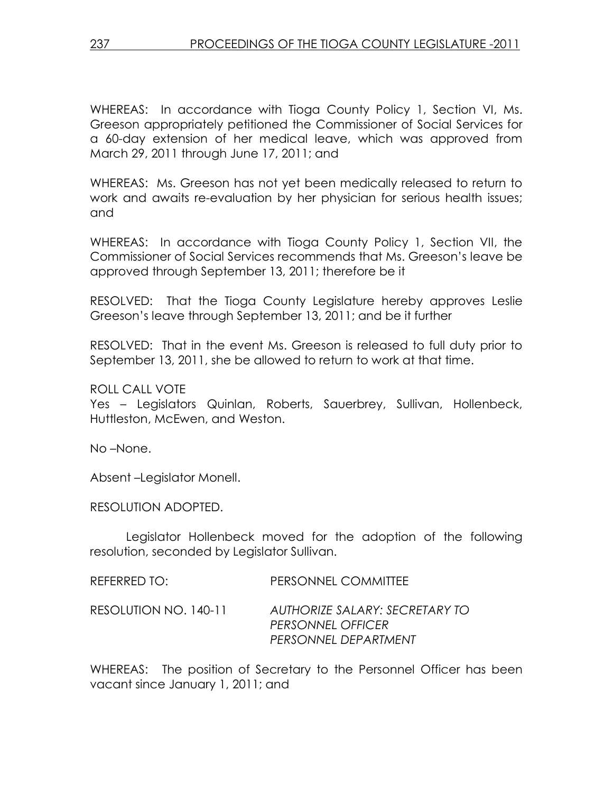WHEREAS: In accordance with Tioga County Policy 1, Section VI, Ms. Greeson appropriately petitioned the Commissioner of Social Services for a 60-day extension of her medical leave, which was approved from March 29, 2011 through June 17, 2011; and

WHEREAS: Ms. Greeson has not yet been medically released to return to work and awaits re-evaluation by her physician for serious health issues; and

WHEREAS: In accordance with Tioga County Policy 1, Section VII, the Commissioner of Social Services recommends that Ms. Greeson's leave be approved through September 13, 2011; therefore be it

RESOLVED: That the Tioga County Legislature hereby approves Leslie Greeson's leave through September 13, 2011; and be it further

RESOLVED: That in the event Ms. Greeson is released to full duty prior to September 13, 2011, she be allowed to return to work at that time.

ROLL CALL VOTE

Yes – Legislators Quinlan, Roberts, Sauerbrey, Sullivan, Hollenbeck, Huttleston, McEwen, and Weston.

No –None.

Absent –Legislator Monell.

RESOLUTION ADOPTED.

 Legislator Hollenbeck moved for the adoption of the following resolution, seconded by Legislator Sullivan.

| REFERRED TO:          | PERSONNEL COMMITTEE                                                                |
|-----------------------|------------------------------------------------------------------------------------|
| RESOLUTION NO. 140-11 | AUTHORIZE SALARY: SECRETARY TO<br><b>PERSONNEL OFFICER</b><br>PERSONNEL DEPARTMENT |

WHEREAS: The position of Secretary to the Personnel Officer has been vacant since January 1, 2011; and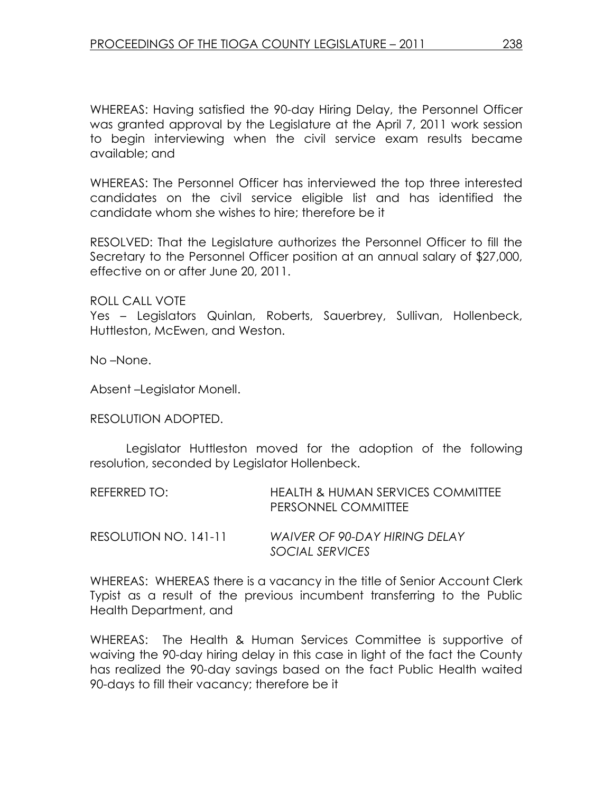WHEREAS: Having satisfied the 90-day Hiring Delay, the Personnel Officer was granted approval by the Legislature at the April 7, 2011 work session to begin interviewing when the civil service exam results became available; and

WHEREAS: The Personnel Officer has interviewed the top three interested candidates on the civil service eligible list and has identified the candidate whom she wishes to hire; therefore be it

RESOLVED: That the Legislature authorizes the Personnel Officer to fill the Secretary to the Personnel Officer position at an annual salary of \$27,000, effective on or after June 20, 2011.

ROLL CALL VOTE

Yes – Legislators Quinlan, Roberts, Sauerbrey, Sullivan, Hollenbeck, Huttleston, McEwen, and Weston.

No –None.

Absent –Legislator Monell.

RESOLUTION ADOPTED.

 Legislator Huttleston moved for the adoption of the following resolution, seconded by Legislator Hollenbeck.

| REFERRED TO:          | HEALTH & HUMAN SERVICES COMMITTEE<br>PERSONNEL COMMITTEE |
|-----------------------|----------------------------------------------------------|
| RESOLUTION NO. 141-11 | <b>WAIVER OF 90-DAY HIRING DELAY</b><br>SOCIAL SERVICES  |

WHEREAS: WHEREAS there is a vacancy in the title of Senior Account Clerk Typist as a result of the previous incumbent transferring to the Public Health Department, and

WHEREAS: The Health & Human Services Committee is supportive of waiving the 90-day hiring delay in this case in light of the fact the County has realized the 90-day savings based on the fact Public Health waited 90-days to fill their vacancy; therefore be it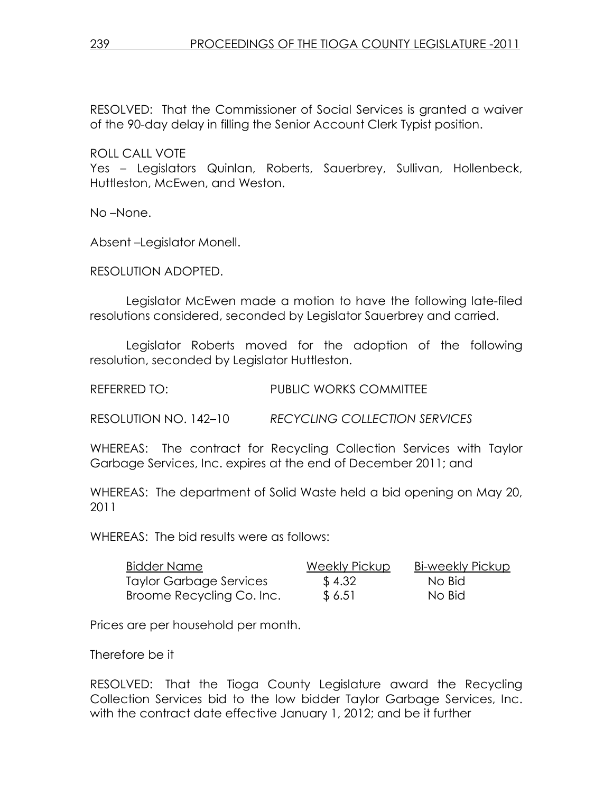RESOLVED: That the Commissioner of Social Services is granted a waiver of the 90-day delay in filling the Senior Account Clerk Typist position.

ROLL CALL VOTE Yes – Legislators Quinlan, Roberts, Sauerbrey, Sullivan, Hollenbeck, Huttleston, McEwen, and Weston.

No –None.

Absent –Legislator Monell.

RESOLUTION ADOPTED.

 Legislator McEwen made a motion to have the following late-filed resolutions considered, seconded by Legislator Sauerbrey and carried.

 Legislator Roberts moved for the adoption of the following resolution, seconded by Legislator Huttleston.

REFERRED TO: PUBLIC WORKS COMMITTEE

RESOLUTION NO. 142–10 RECYCLING COLLECTION SERVICES

WHEREAS: The contract for Recycling Collection Services with Taylor Garbage Services, Inc. expires at the end of December 2011; and

WHEREAS: The department of Solid Waste held a bid opening on May 20, 2011

WHEREAS: The bid results were as follows:

| <b>Bidder Name</b>        | Weekly Pickup | Bi-weekly Pickup |
|---------------------------|---------------|------------------|
| Taylor Garbage Services   | \$4.32        | No Bid           |
| Broome Recycling Co. Inc. | \$6.51        | No Bid           |

Prices are per household per month.

Therefore be it

RESOLVED: That the Tioga County Legislature award the Recycling Collection Services bid to the low bidder Taylor Garbage Services, Inc. with the contract date effective January 1, 2012; and be it further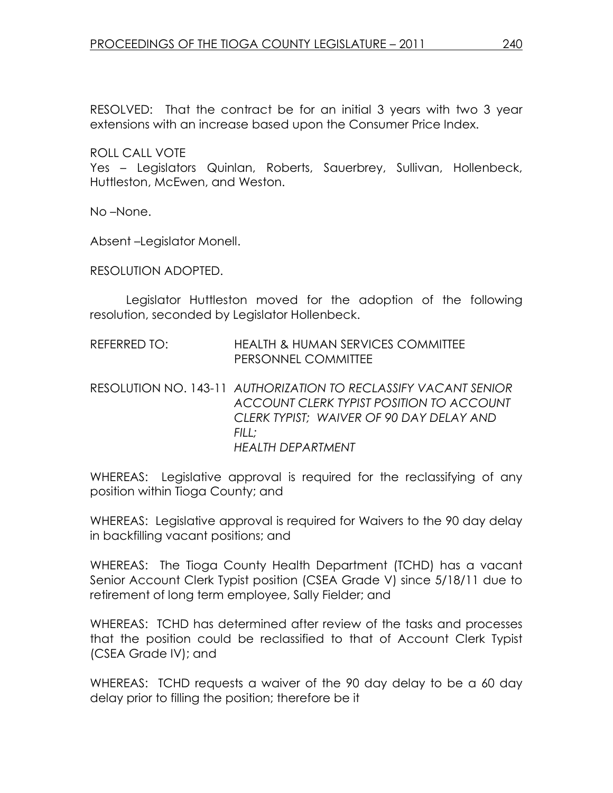RESOLVED: That the contract be for an initial 3 years with two 3 year extensions with an increase based upon the Consumer Price Index.

ROLL CALL VOTE

Yes – Legislators Quinlan, Roberts, Sauerbrey, Sullivan, Hollenbeck, Huttleston, McEwen, and Weston.

No –None.

Absent –Legislator Monell.

RESOLUTION ADOPTED.

 Legislator Huttleston moved for the adoption of the following resolution, seconded by Legislator Hollenbeck.

- REFERRED TO: HEALTH & HUMAN SERVICES COMMITTEE PERSONNEL COMMITTEE
- RESOLUTION NO. 143-11 AUTHORIZATION TO RECLASSIFY VACANT SENIOR ACCOUNT CLERK TYPIST POSITION TO ACCOUNT CLERK TYPIST; WAIVER OF 90 DAY DELAY AND  $FIII$ : HEALTH DEPARTMENT

WHEREAS: Legislative approval is required for the reclassifying of any position within Tioga County; and

WHEREAS: Legislative approval is required for Waivers to the 90 day delay in backfilling vacant positions; and

WHEREAS: The Tioga County Health Department (TCHD) has a vacant Senior Account Clerk Typist position (CSEA Grade V) since 5/18/11 due to retirement of long term employee, Sally Fielder; and

WHEREAS: TCHD has determined after review of the tasks and processes that the position could be reclassified to that of Account Clerk Typist (CSEA Grade IV); and

WHEREAS: TCHD requests a waiver of the 90 day delay to be a 60 day delay prior to filling the position; therefore be it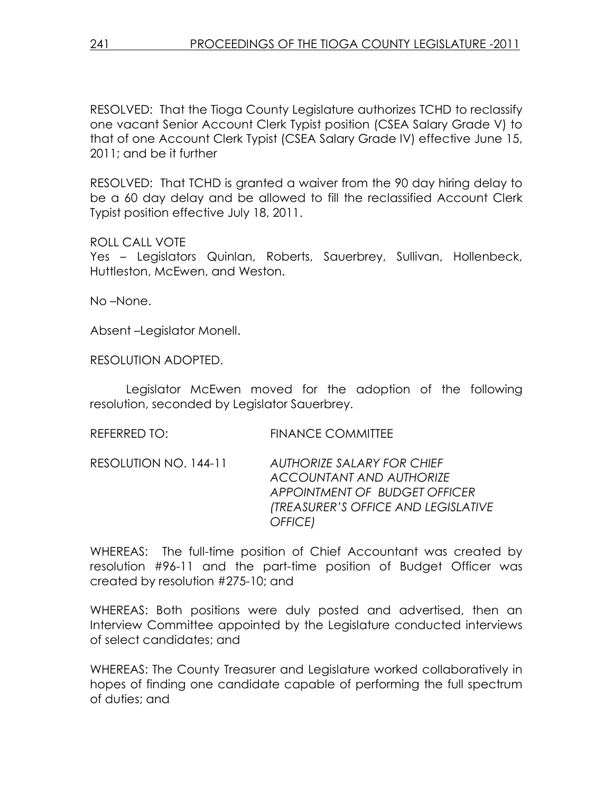RESOLVED: That the Tioga County Legislature authorizes TCHD to reclassify one vacant Senior Account Clerk Typist position (CSEA Salary Grade V) to that of one Account Clerk Typist (CSEA Salary Grade IV) effective June 15, 2011; and be it further

RESOLVED: That TCHD is granted a waiver from the 90 day hiring delay to be a 60 day delay and be allowed to fill the reclassified Account Clerk Typist position effective July 18, 2011.

#### ROLL CALL VOTE

Yes – Legislators Quinlan, Roberts, Sauerbrey, Sullivan, Hollenbeck, Huttleston, McEwen, and Weston.

No –None.

Absent –Legislator Monell.

RESOLUTION ADOPTED.

 Legislator McEwen moved for the adoption of the following resolution, seconded by Legislator Sauerbrey.

REFERRED TO: FINANCE COMMITTEE

RESOLUTION NO. 144-11 AUTHORIZE SALARY FOR CHIEF ACCOUNTANT AND AUTHORIZE APPOINTMENT OF BUDGET OFFICER (TREASURER'S OFFICE AND LEGISLATIVE OFFICE)

WHEREAS: The full-time position of Chief Accountant was created by resolution #96-11 and the part-time position of Budget Officer was created by resolution #275-10; and

WHEREAS: Both positions were duly posted and advertised, then an Interview Committee appointed by the Legislature conducted interviews of select candidates; and

WHEREAS: The County Treasurer and Legislature worked collaboratively in hopes of finding one candidate capable of performing the full spectrum of duties; and